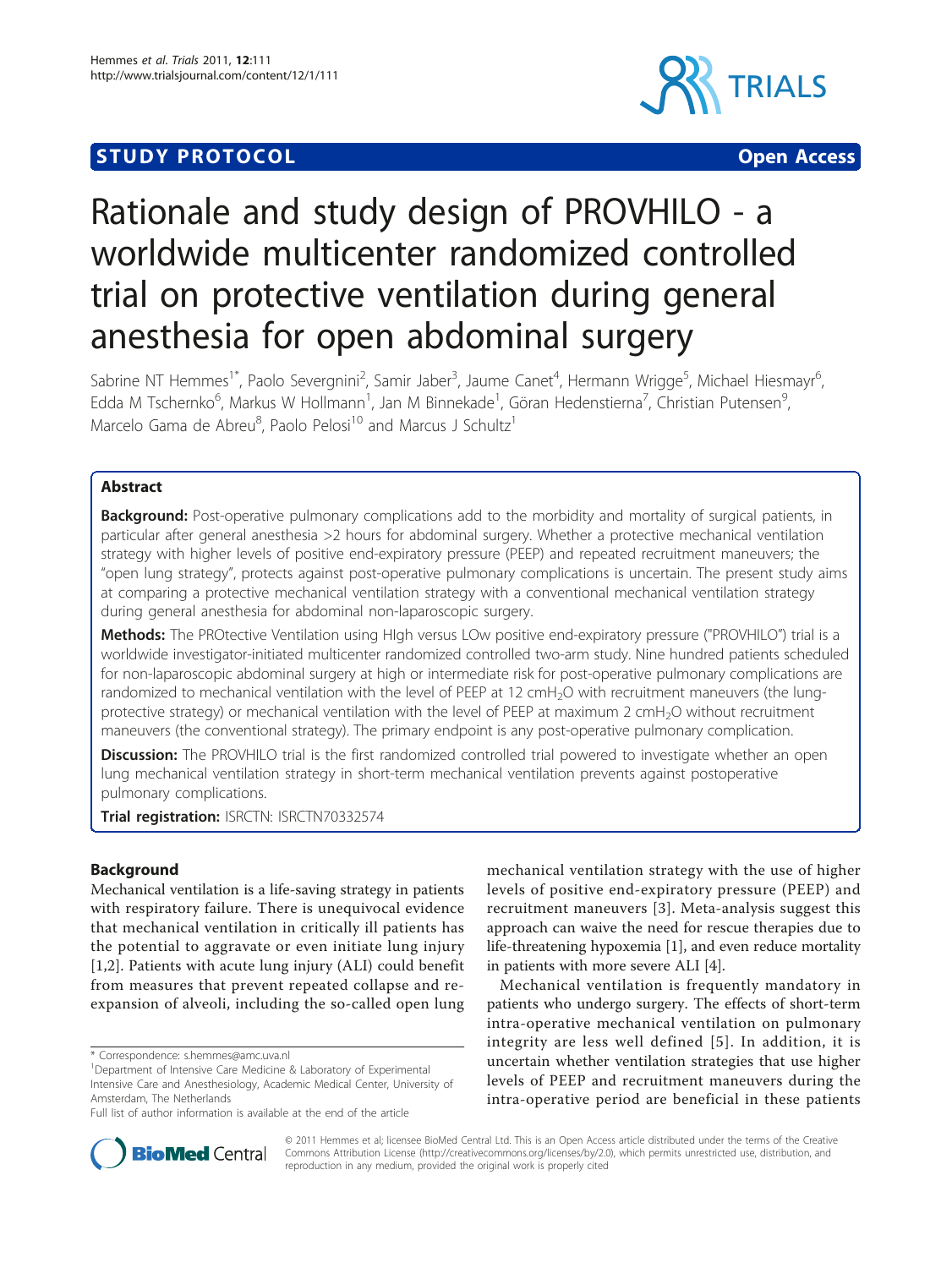## **STUDY PROTOCOL CONSUMING THE CONSUMING OPEN ACCESS**



# Rationale and study design of PROVHILO - a worldwide multicenter randomized controlled trial on protective ventilation during general anesthesia for open abdominal surgery

Sabrine NT Hemmes<sup>1\*</sup>, Paolo Severgnini<sup>2</sup>, Samir Jaber<sup>3</sup>, Jaume Canet<sup>4</sup>, Hermann Wrigge<sup>5</sup>, Michael Hiesmayr<sup>6</sup> י<br>, Edda M Tschernko<sup>6</sup>, Markus W Hollmann<sup>1</sup>, Jan M Binnekade<sup>1</sup>, Göran Hedenstierna<sup>7</sup>, Christian Putensen<sup>s</sup> , Marcelo Gama de Abreu<sup>8</sup>, Paolo Pelosi<sup>10</sup> and Marcus J Schultz<sup>1</sup>

## Abstract

**Background:** Post-operative pulmonary complications add to the morbidity and mortality of surgical patients, in particular after general anesthesia >2 hours for abdominal surgery. Whether a protective mechanical ventilation strategy with higher levels of positive end-expiratory pressure (PEEP) and repeated recruitment maneuvers; the "open lung strategy", protects against post-operative pulmonary complications is uncertain. The present study aims at comparing a protective mechanical ventilation strategy with a conventional mechanical ventilation strategy during general anesthesia for abdominal non-laparoscopic surgery.

Methods: The PROtective Ventilation using HIgh versus LOw positive end-expiratory pressure ("PROVHILO") trial is a worldwide investigator-initiated multicenter randomized controlled two-arm study. Nine hundred patients scheduled for non-laparoscopic abdominal surgery at high or intermediate risk for post-operative pulmonary complications are randomized to mechanical ventilation with the level of PEEP at 12 cmH<sub>2</sub>O with recruitment maneuvers (the lungprotective strategy) or mechanical ventilation with the level of PEEP at maximum 2 cmH<sub>2</sub>O without recruitment maneuvers (the conventional strategy). The primary endpoint is any post-operative pulmonary complication.

Discussion: The PROVHILO trial is the first randomized controlled trial powered to investigate whether an open lung mechanical ventilation strategy in short-term mechanical ventilation prevents against postoperative pulmonary complications.

Trial registration: ISRCTN: [ISRCTN70332574](http://www.controlled-trials.com/ISRCTN70332574)

## Background

Mechanical ventilation is a life-saving strategy in patients with respiratory failure. There is unequivocal evidence that mechanical ventilation in critically ill patients has the potential to aggravate or even initiate lung injury [[1,2](#page-7-0)]. Patients with acute lung injury (ALI) could benefit from measures that prevent repeated collapse and reexpansion of alveoli, including the so-called open lung

\* Correspondence: [s.hemmes@amc.uva.nl](mailto:s.hemmes@amc.uva.nl)

mechanical ventilation strategy with the use of higher levels of positive end-expiratory pressure (PEEP) and recruitment maneuvers [[3\]](#page-7-0). Meta-analysis suggest this approach can waive the need for rescue therapies due to life-threatening hypoxemia [[1\]](#page-7-0), and even reduce mortality in patients with more severe ALI [[4\]](#page-7-0).

Mechanical ventilation is frequently mandatory in patients who undergo surgery. The effects of short-term intra-operative mechanical ventilation on pulmonary integrity are less well defined [[5](#page-7-0)]. In addition, it is uncertain whether ventilation strategies that use higher levels of PEEP and recruitment maneuvers during the intra-operative period are beneficial in these patients



© 2011 Hemmes et al; licensee BioMed Central Ltd. This is an Open Access article distributed under the terms of the Creative Commons Attribution License [\(http://creativecommons.org/licenses/by/2.0](http://creativecommons.org/licenses/by/2.0)), which permits unrestricted use, distribution, and reproduction in any medium, provided the original work is properly cited

<sup>&</sup>lt;sup>1</sup>Department of Intensive Care Medicine & Laboratory of Experimental Intensive Care and Anesthesiology, Academic Medical Center, University of Amsterdam, The Netherlands

Full list of author information is available at the end of the article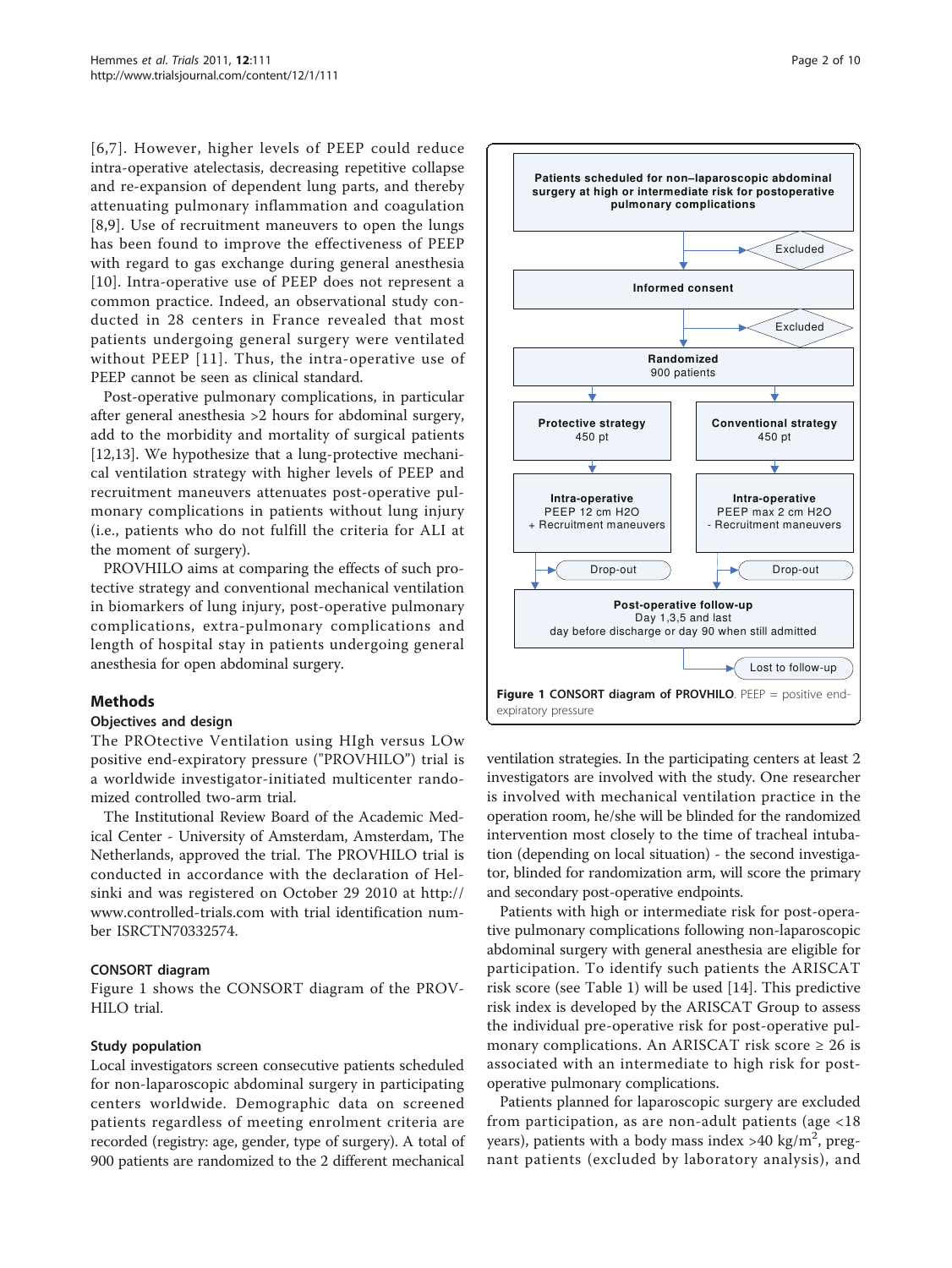[[6,](#page-7-0)[7\]](#page-8-0). However, higher levels of PEEP could reduce intra-operative atelectasis, decreasing repetitive collapse and re-expansion of dependent lung parts, and thereby attenuating pulmonary inflammation and coagulation [[8,9](#page-8-0)]. Use of recruitment maneuvers to open the lungs has been found to improve the effectiveness of PEEP with regard to gas exchange during general anesthesia [[10](#page-8-0)]. Intra-operative use of PEEP does not represent a common practice. Indeed, an observational study conducted in 28 centers in France revealed that most patients undergoing general surgery were ventilated without PEEP [[11\]](#page-8-0). Thus, the intra-operative use of PEEP cannot be seen as clinical standard.

Post-operative pulmonary complications, in particular after general anesthesia >2 hours for abdominal surgery, add to the morbidity and mortality of surgical patients [[12,13\]](#page-8-0). We hypothesize that a lung-protective mechanical ventilation strategy with higher levels of PEEP and recruitment maneuvers attenuates post-operative pulmonary complications in patients without lung injury (i.e., patients who do not fulfill the criteria for ALI at the moment of surgery).

PROVHILO aims at comparing the effects of such protective strategy and conventional mechanical ventilation in biomarkers of lung injury, post-operative pulmonary complications, extra-pulmonary complications and length of hospital stay in patients undergoing general anesthesia for open abdominal surgery.

## Methods

#### Objectives and design

The PROtective Ventilation using HIgh versus LOw positive end-expiratory pressure ("PROVHILO") trial is a worldwide investigator-initiated multicenter randomized controlled two-arm trial.

The Institutional Review Board of the Academic Medical Center - University of Amsterdam, Amsterdam, The Netherlands, approved the trial. The PROVHILO trial is conducted in accordance with the declaration of Helsinki and was registered on October 29 2010 at [http://](http://www.controlled-trials.com) [www.controlled-trials.com](http://www.controlled-trials.com) with trial identification number ISRCTN70332574.

#### CONSORT diagram

Figure 1 shows the CONSORT diagram of the PROV-HILO trial.

#### Study population

Local investigators screen consecutive patients scheduled for non-laparoscopic abdominal surgery in participating centers worldwide. Demographic data on screened patients regardless of meeting enrolment criteria are recorded (registry: age, gender, type of surgery). A total of 900 patients are randomized to the 2 different mechanical



ventilation strategies. In the participating centers at least 2 investigators are involved with the study. One researcher is involved with mechanical ventilation practice in the operation room, he/she will be blinded for the randomized intervention most closely to the time of tracheal intubation (depending on local situation) - the second investigator, blinded for randomization arm, will score the primary and secondary post-operative endpoints.

Patients with high or intermediate risk for post-operative pulmonary complications following non-laparoscopic abdominal surgery with general anesthesia are eligible for participation. To identify such patients the ARISCAT risk score (see Table [1](#page-2-0)) will be used [\[14](#page-8-0)]. This predictive risk index is developed by the ARISCAT Group to assess the individual pre-operative risk for post-operative pulmonary complications. An ARISCAT risk score  $\geq 26$  is associated with an intermediate to high risk for postoperative pulmonary complications.

Patients planned for laparoscopic surgery are excluded from participation, as are non-adult patients (age <18 years), patients with a body mass index >40 kg/m<sup>2</sup>, pregnant patients (excluded by laboratory analysis), and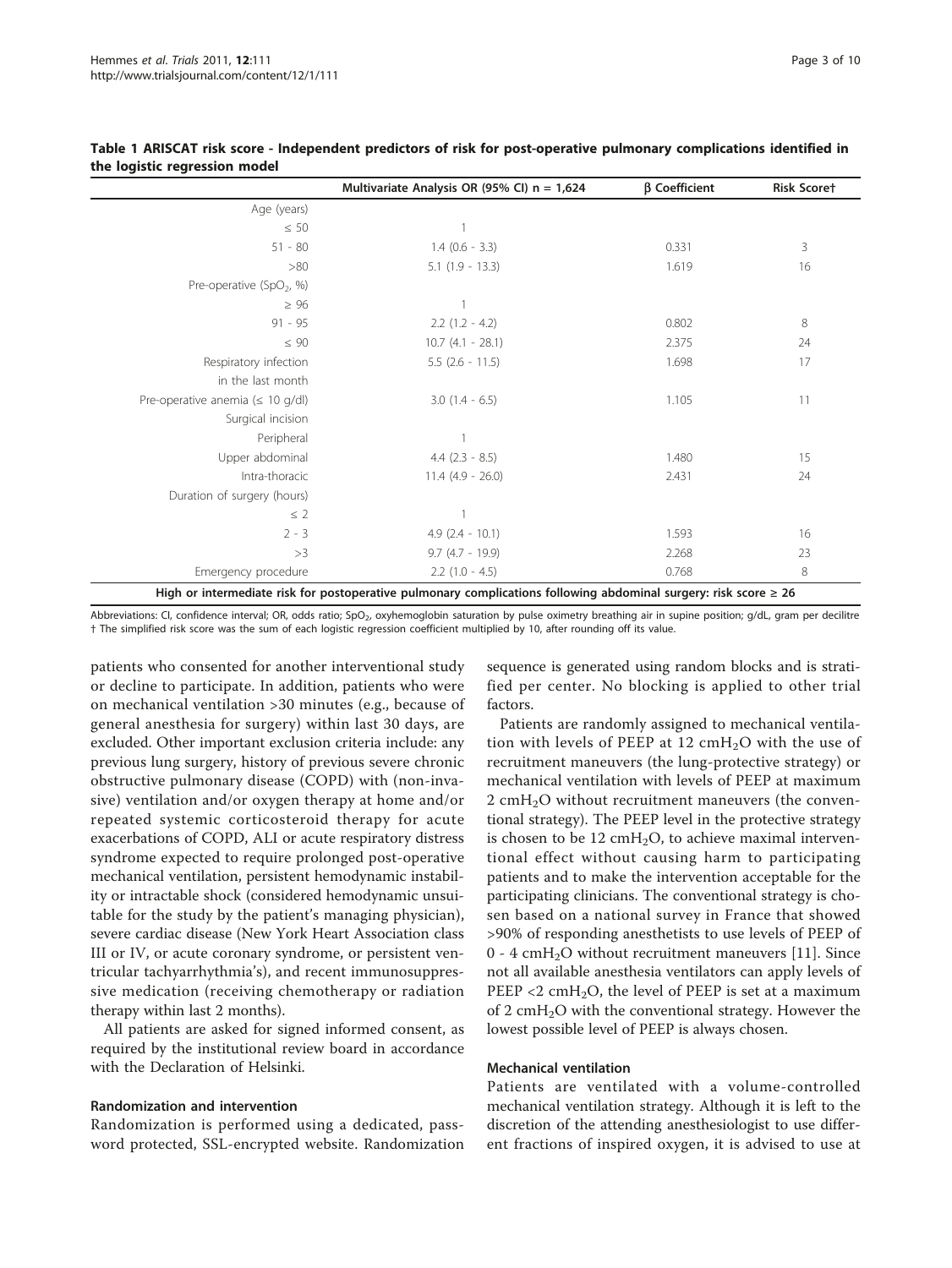|                                        | Multivariate Analysis OR (95% CI) $n = 1,624$ | $\beta$ Coefficient | <b>Risk Scoret</b> |
|----------------------------------------|-----------------------------------------------|---------------------|--------------------|
| Age (years)                            |                                               |                     |                    |
| $\leq 50$                              |                                               |                     |                    |
| $51 - 80$                              | $1.4$ (0.6 - 3.3)                             | 0.331               | 3                  |
| >80                                    | $5.1$ $(1.9 - 13.3)$                          | 1.619               | 16                 |
| Pre-operative (SpO <sub>2</sub> , %)   |                                               |                     |                    |
| $\geq 96$                              |                                               |                     |                    |
| $91 - 95$                              | $2.2$ $(1.2 - 4.2)$                           | 0.802               | 8                  |
| $\leq 90$                              | $10.7$ $(4.1 - 28.1)$                         | 2.375               | 24                 |
| Respiratory infection                  | $5.5$ (2.6 - 11.5)                            | 1.698               | 17                 |
| in the last month                      |                                               |                     |                    |
| Pre-operative anemia ( $\leq 10$ g/dl) | $3.0$ $(1.4 - 6.5)$                           | 1.105               | 11                 |
| Surgical incision                      |                                               |                     |                    |
| Peripheral                             |                                               |                     |                    |
| Upper abdominal                        | $4.4$ $(2.3 - 8.5)$                           | 1.480               | 15                 |
| Intra-thoracic                         | $11.4$ (4.9 - 26.0)                           | 2.431               | 24                 |
| Duration of surgery (hours)            |                                               |                     |                    |
| $\leq$ 2                               |                                               |                     |                    |
| $2 - 3$                                | $4.9(2.4 - 10.1)$                             | 1.593               | 16                 |
| >3                                     | $9.7$ (4.7 - 19.9)                            | 2.268               | 23                 |
| Emergency procedure                    | $2.2$ (1.0 - 4.5)                             | 0.768               | 8                  |

#### <span id="page-2-0"></span>Table 1 ARISCAT risk score - Independent predictors of risk for post-operative pulmonary complications identified in the logistic regression model

High or intermediate risk for postoperative pulmonary complications following abdominal surgery: risk score ≥ 26

Abbreviations: CI, confidence interval; OR, odds ratio; SpO<sub>2</sub>, oxyhemoglobin saturation by pulse oximetry breathing air in supine position; g/dL, gram per decilitre † The simplified risk score was the sum of each logistic regression coefficient multiplied by 10, after rounding off its value.

patients who consented for another interventional study or decline to participate. In addition, patients who were on mechanical ventilation >30 minutes (e.g., because of general anesthesia for surgery) within last 30 days, are excluded. Other important exclusion criteria include: any previous lung surgery, history of previous severe chronic obstructive pulmonary disease (COPD) with (non-invasive) ventilation and/or oxygen therapy at home and/or repeated systemic corticosteroid therapy for acute exacerbations of COPD, ALI or acute respiratory distress syndrome expected to require prolonged post-operative mechanical ventilation, persistent hemodynamic instability or intractable shock (considered hemodynamic unsuitable for the study by the patient's managing physician), severe cardiac disease (New York Heart Association class III or IV, or acute coronary syndrome, or persistent ventricular tachyarrhythmia's), and recent immunosuppressive medication (receiving chemotherapy or radiation therapy within last 2 months).

All patients are asked for signed informed consent, as required by the institutional review board in accordance with the Declaration of Helsinki.

## Randomization and intervention

Randomization is performed using a dedicated, password protected, SSL-encrypted website. Randomization

sequence is generated using random blocks and is stratified per center. No blocking is applied to other trial factors.

Patients are randomly assigned to mechanical ventilation with levels of PEEP at 12  $\text{cm}H_2\text{O}$  with the use of recruitment maneuvers (the lung-protective strategy) or mechanical ventilation with levels of PEEP at maximum 2 cmH<sub>2</sub>O without recruitment maneuvers (the conventional strategy). The PEEP level in the protective strategy is chosen to be  $12 \text{ cmH}_2\text{O}$ , to achieve maximal interventional effect without causing harm to participating patients and to make the intervention acceptable for the participating clinicians. The conventional strategy is chosen based on a national survey in France that showed >90% of responding anesthetists to use levels of PEEP of  $0 - 4$  cmH<sub>2</sub>O without recruitment maneuvers [\[11](#page-8-0)]. Since not all available anesthesia ventilators can apply levels of PEEP  $\langle 2 \text{ cm} H_2O \rangle$ , the level of PEEP is set at a maximum of 2 cmH<sub>2</sub>O with the conventional strategy. However the lowest possible level of PEEP is always chosen.

#### Mechanical ventilation

Patients are ventilated with a volume-controlled mechanical ventilation strategy. Although it is left to the discretion of the attending anesthesiologist to use different fractions of inspired oxygen, it is advised to use at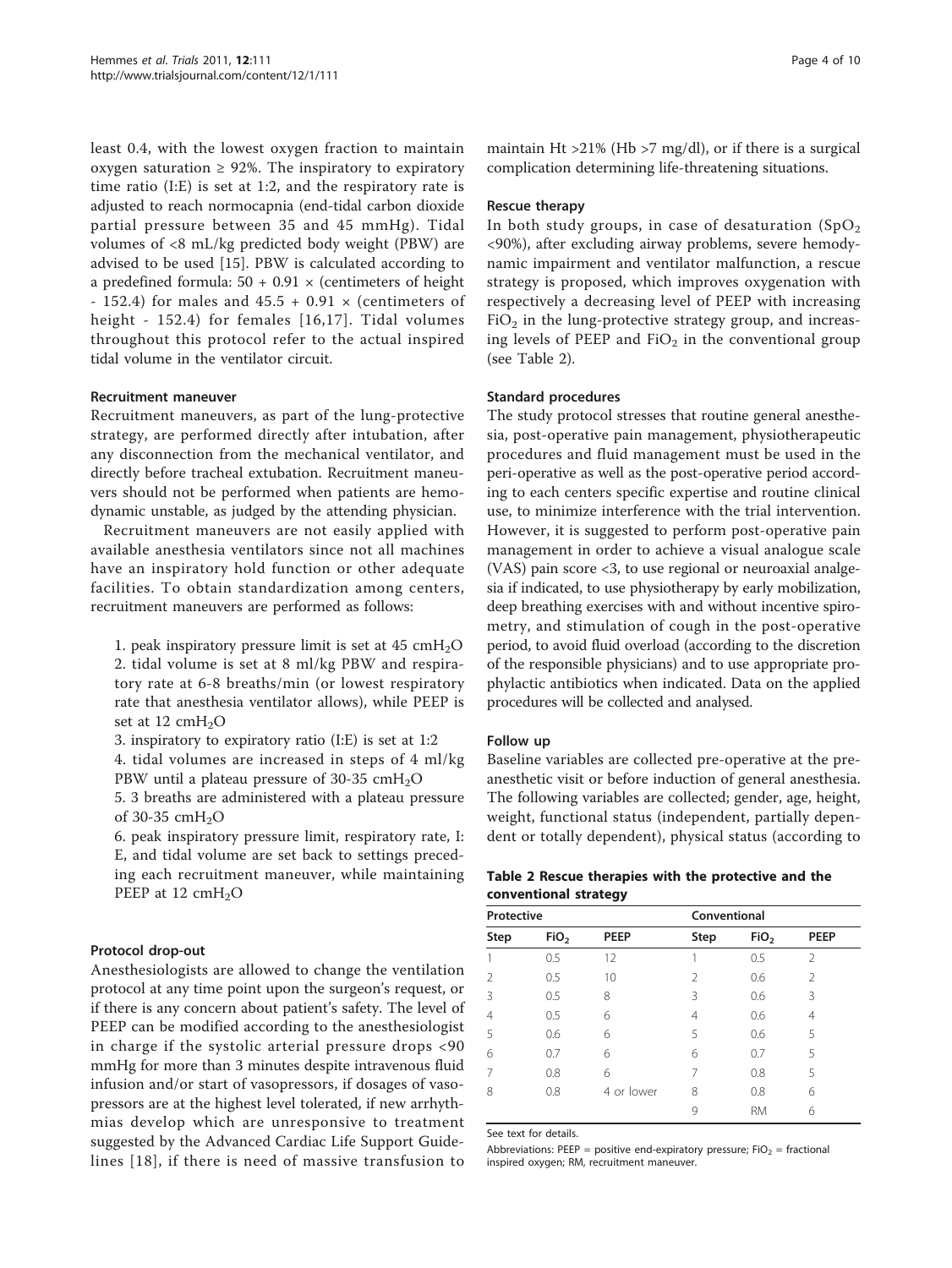least 0.4, with the lowest oxygen fraction to maintain oxygen saturation  $\geq$  92%. The inspiratory to expiratory time ratio (I:E) is set at 1:2, and the respiratory rate is adjusted to reach normocapnia (end-tidal carbon dioxide partial pressure between 35 and 45 mmHg). Tidal volumes of <8 mL/kg predicted body weight (PBW) are advised to be used [[15\]](#page-8-0). PBW is calculated according to a predefined formula:  $50 + 0.91 \times$  (centimeters of height - 152.4) for males and  $45.5 + 0.91 \times$  (centimeters of height - 152.4) for females [[16](#page-8-0),[17\]](#page-8-0). Tidal volumes throughout this protocol refer to the actual inspired tidal volume in the ventilator circuit.

#### Recruitment maneuver

Recruitment maneuvers, as part of the lung-protective strategy, are performed directly after intubation, after any disconnection from the mechanical ventilator, and directly before tracheal extubation. Recruitment maneuvers should not be performed when patients are hemodynamic unstable, as judged by the attending physician.

Recruitment maneuvers are not easily applied with available anesthesia ventilators since not all machines have an inspiratory hold function or other adequate facilities. To obtain standardization among centers, recruitment maneuvers are performed as follows:

1. peak inspiratory pressure limit is set at  $45 \text{ cm}H_2\text{O}$ 2. tidal volume is set at 8 ml/kg PBW and respiratory rate at 6-8 breaths/min (or lowest respiratory rate that anesthesia ventilator allows), while PEEP is set at  $12 \text{ cm}H_2O$ 

3. inspiratory to expiratory ratio (I:E) is set at 1:2

4. tidal volumes are increased in steps of 4 ml/kg PBW until a plateau pressure of 30-35  $cmH<sub>2</sub>O$ 

5. 3 breaths are administered with a plateau pressure of 30-35  $cmH<sub>2</sub>O$ 

6. peak inspiratory pressure limit, respiratory rate, I: E, and tidal volume are set back to settings preceding each recruitment maneuver, while maintaining PEEP at 12 cmH<sub>2</sub>O

## Protocol drop-out

Anesthesiologists are allowed to change the ventilation protocol at any time point upon the surgeon's request, or if there is any concern about patient's safety. The level of PEEP can be modified according to the anesthesiologist in charge if the systolic arterial pressure drops <90 mmHg for more than 3 minutes despite intravenous fluid infusion and/or start of vasopressors, if dosages of vasopressors are at the highest level tolerated, if new arrhythmias develop which are unresponsive to treatment suggested by the Advanced Cardiac Life Support Guidelines [[18\]](#page-8-0), if there is need of massive transfusion to

maintain Ht  $>$ 21% (Hb  $>$ 7 mg/dl), or if there is a surgical complication determining life-threatening situations.

### Rescue therapy

In both study groups, in case of desaturation  $(SpO<sub>2</sub>)$ <90%), after excluding airway problems, severe hemodynamic impairment and ventilator malfunction, a rescue strategy is proposed, which improves oxygenation with respectively a decreasing level of PEEP with increasing  $FiO<sub>2</sub>$  in the lung-protective strategy group, and increasing levels of PEEP and  $FiO<sub>2</sub>$  in the conventional group (see Table 2).

## Standard procedures

The study protocol stresses that routine general anesthesia, post-operative pain management, physiotherapeutic procedures and fluid management must be used in the peri-operative as well as the post-operative period according to each centers specific expertise and routine clinical use, to minimize interference with the trial intervention. However, it is suggested to perform post-operative pain management in order to achieve a visual analogue scale (VAS) pain score <3, to use regional or neuroaxial analgesia if indicated, to use physiotherapy by early mobilization, deep breathing exercises with and without incentive spirometry, and stimulation of cough in the post-operative period, to avoid fluid overload (according to the discretion of the responsible physicians) and to use appropriate prophylactic antibiotics when indicated. Data on the applied procedures will be collected and analysed.

## Follow up

Baseline variables are collected pre-operative at the preanesthetic visit or before induction of general anesthesia. The following variables are collected; gender, age, height, weight, functional status (independent, partially dependent or totally dependent), physical status (according to

### Table 2 Rescue therapies with the protective and the conventional strategy

| Protective |                  |            | Conventional   |                  |               |  |
|------------|------------------|------------|----------------|------------------|---------------|--|
| Step       | FiO <sub>2</sub> | PEEP       | Step           | FiO <sub>2</sub> | <b>PEEP</b>   |  |
| 1          | 0.5              | 12         |                | 0.5              | $\mathcal{P}$ |  |
| 2          | 0.5              | 10         | $\mathfrak{D}$ | 0.6              | $\mathcal{P}$ |  |
| 3          | 0.5              | 8          | 3              | 0.6              | 3             |  |
| 4          | 0.5              | 6          | 4              | 0.6              | 4             |  |
| 5          | 0.6              | 6          | 5              | 0.6              | 5             |  |
| 6          | 0.7              | 6          | 6              | 0.7              | 5             |  |
| 7          | 0.8              | 6          | 7              | 0.8              | 5             |  |
| 8          | 0.8              | 4 or lower | 8              | 0.8              | 6             |  |
|            |                  |            | 9              | <b>RM</b>        | 6             |  |

See text for details.

Abbreviations: PEEP = positive end-expiratory pressure; FiO<sub>2</sub> = fractional inspired oxygen; RM, recruitment maneuver.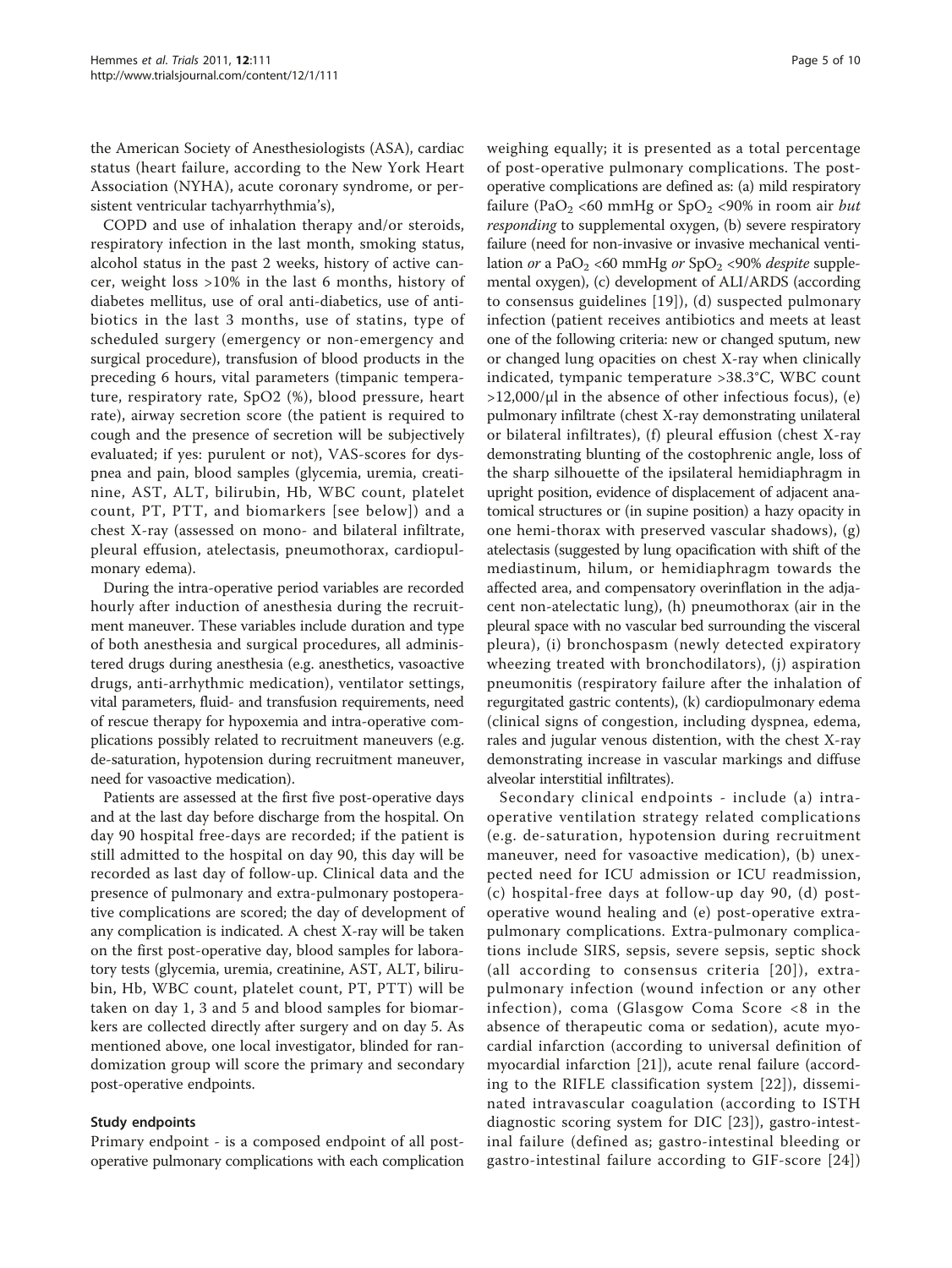the American Society of Anesthesiologists (ASA), cardiac status (heart failure, according to the New York Heart Association (NYHA), acute coronary syndrome, or persistent ventricular tachyarrhythmia's),

COPD and use of inhalation therapy and/or steroids, respiratory infection in the last month, smoking status, alcohol status in the past 2 weeks, history of active cancer, weight loss >10% in the last 6 months, history of diabetes mellitus, use of oral anti-diabetics, use of antibiotics in the last 3 months, use of statins, type of scheduled surgery (emergency or non-emergency and surgical procedure), transfusion of blood products in the preceding 6 hours, vital parameters (timpanic temperature, respiratory rate, SpO2 (%), blood pressure, heart rate), airway secretion score (the patient is required to cough and the presence of secretion will be subjectively evaluated; if yes: purulent or not), VAS-scores for dyspnea and pain, blood samples (glycemia, uremia, creatinine, AST, ALT, bilirubin, Hb, WBC count, platelet count, PT, PTT, and biomarkers [see below]) and a chest X-ray (assessed on mono- and bilateral infiltrate, pleural effusion, atelectasis, pneumothorax, cardiopulmonary edema).

During the intra-operative period variables are recorded hourly after induction of anesthesia during the recruitment maneuver. These variables include duration and type of both anesthesia and surgical procedures, all administered drugs during anesthesia (e.g. anesthetics, vasoactive drugs, anti-arrhythmic medication), ventilator settings, vital parameters, fluid- and transfusion requirements, need of rescue therapy for hypoxemia and intra-operative complications possibly related to recruitment maneuvers (e.g. de-saturation, hypotension during recruitment maneuver, need for vasoactive medication).

Patients are assessed at the first five post-operative days and at the last day before discharge from the hospital. On day 90 hospital free-days are recorded; if the patient is still admitted to the hospital on day 90, this day will be recorded as last day of follow-up. Clinical data and the presence of pulmonary and extra-pulmonary postoperative complications are scored; the day of development of any complication is indicated. A chest X-ray will be taken on the first post-operative day, blood samples for laboratory tests (glycemia, uremia, creatinine, AST, ALT, bilirubin, Hb, WBC count, platelet count, PT, PTT) will be taken on day 1, 3 and 5 and blood samples for biomarkers are collected directly after surgery and on day 5. As mentioned above, one local investigator, blinded for randomization group will score the primary and secondary post-operative endpoints.

## Study endpoints

Primary endpoint - is a composed endpoint of all postoperative pulmonary complications with each complication weighing equally; it is presented as a total percentage of post-operative pulmonary complications. The postoperative complications are defined as: (a) mild respiratory failure (PaO<sub>2</sub> <60 mmHg or  $SpO<sub>2</sub>$  <90% in room air *but* responding to supplemental oxygen, (b) severe respiratory failure (need for non-invasive or invasive mechanical ventilation or a PaO<sub>2</sub> <60 mmHg or  $SpO<sub>2</sub>$  <90% *despite* supplemental oxygen), (c) development of ALI/ARDS (according to consensus guidelines [\[19\]](#page-8-0)), (d) suspected pulmonary infection (patient receives antibiotics and meets at least one of the following criteria: new or changed sputum, new or changed lung opacities on chest X-ray when clinically indicated, tympanic temperature >38.3°C, WBC count  $>12,000/\mu$ l in the absence of other infectious focus), (e) pulmonary infiltrate (chest X-ray demonstrating unilateral or bilateral infiltrates), (f) pleural effusion (chest X-ray demonstrating blunting of the costophrenic angle, loss of the sharp silhouette of the ipsilateral hemidiaphragm in upright position, evidence of displacement of adjacent anatomical structures or (in supine position) a hazy opacity in one hemi-thorax with preserved vascular shadows), (g) atelectasis (suggested by lung opacification with shift of the mediastinum, hilum, or hemidiaphragm towards the affected area, and compensatory overinflation in the adjacent non-atelectatic lung), (h) pneumothorax (air in the pleural space with no vascular bed surrounding the visceral pleura), (i) bronchospasm (newly detected expiratory wheezing treated with bronchodilators), (j) aspiration pneumonitis (respiratory failure after the inhalation of regurgitated gastric contents), (k) cardiopulmonary edema (clinical signs of congestion, including dyspnea, edema, rales and jugular venous distention, with the chest X-ray demonstrating increase in vascular markings and diffuse alveolar interstitial infiltrates).

Secondary clinical endpoints - include (a) intraoperative ventilation strategy related complications (e.g. de-saturation, hypotension during recruitment maneuver, need for vasoactive medication), (b) unexpected need for ICU admission or ICU readmission, (c) hospital-free days at follow-up day 90, (d) postoperative wound healing and (e) post-operative extrapulmonary complications. Extra-pulmonary complications include SIRS, sepsis, severe sepsis, septic shock (all according to consensus criteria [[20\]](#page-8-0)), extrapulmonary infection (wound infection or any other infection), coma (Glasgow Coma Score <8 in the absence of therapeutic coma or sedation), acute myocardial infarction (according to universal definition of myocardial infarction [\[21\]](#page-8-0)), acute renal failure (according to the RIFLE classification system [[22](#page-8-0)]), disseminated intravascular coagulation (according to ISTH diagnostic scoring system for DIC [[23\]](#page-8-0)), gastro-intestinal failure (defined as; gastro-intestinal bleeding or gastro-intestinal failure according to GIF-score [\[24\]](#page-8-0))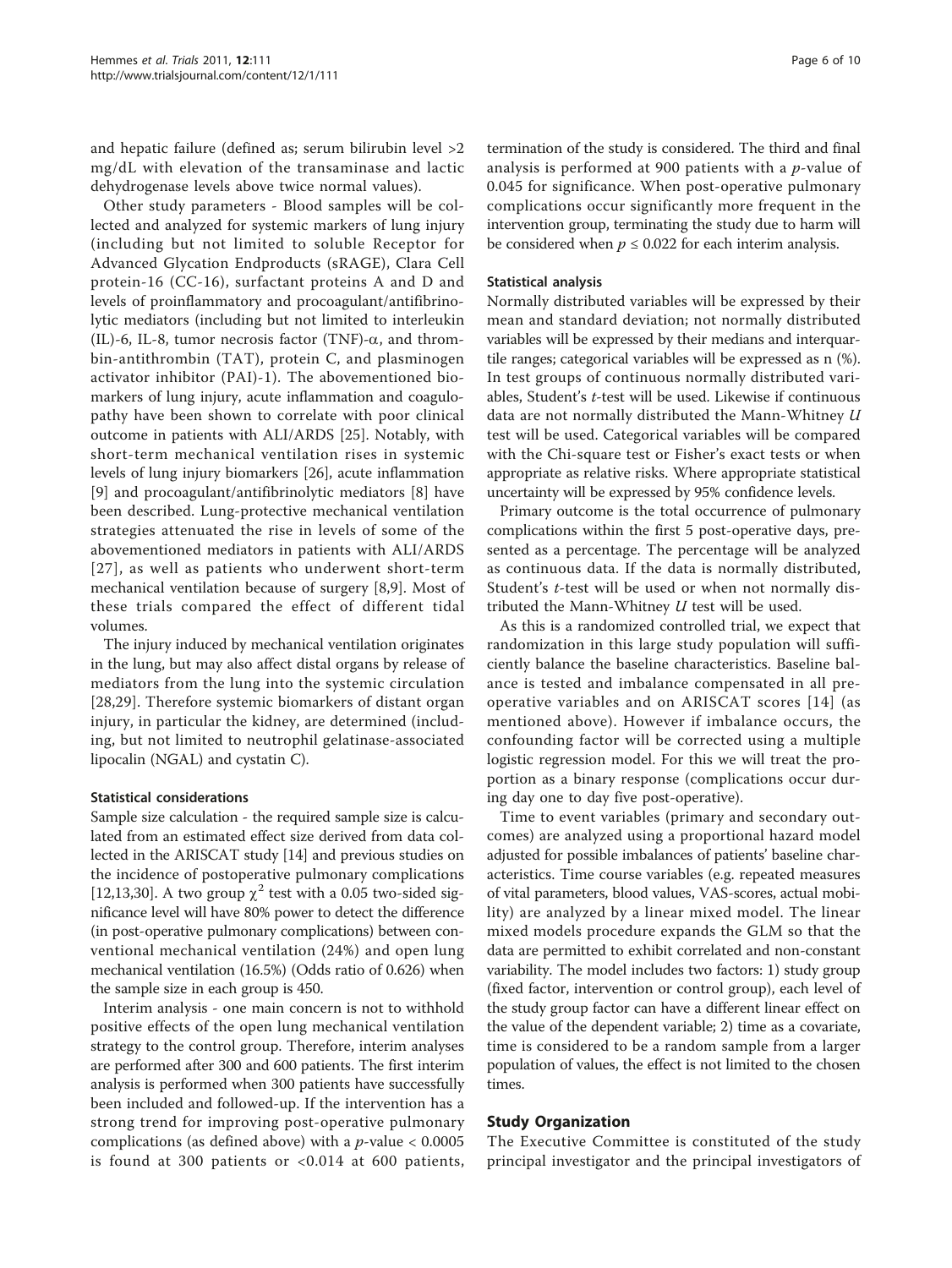and hepatic failure (defined as; serum bilirubin level >2 mg/dL with elevation of the transaminase and lactic dehydrogenase levels above twice normal values).

Other study parameters - Blood samples will be collected and analyzed for systemic markers of lung injury (including but not limited to soluble Receptor for Advanced Glycation Endproducts (sRAGE), Clara Cell protein-16 (CC-16), surfactant proteins A and D and levels of proinflammatory and procoagulant/antifibrinolytic mediators (including but not limited to interleukin (IL)-6, IL-8, tumor necrosis factor (TNF)- $\alpha$ , and thrombin-antithrombin (TAT), protein C, and plasminogen activator inhibitor (PAI)-1). The abovementioned biomarkers of lung injury, acute inflammation and coagulopathy have been shown to correlate with poor clinical outcome in patients with ALI/ARDS [[25\]](#page-8-0). Notably, with short-term mechanical ventilation rises in systemic levels of lung injury biomarkers [\[26\]](#page-8-0), acute inflammation [[9\]](#page-8-0) and procoagulant/antifibrinolytic mediators [\[8](#page-8-0)] have been described. Lung-protective mechanical ventilation strategies attenuated the rise in levels of some of the abovementioned mediators in patients with ALI/ARDS [[27](#page-8-0)], as well as patients who underwent short-term mechanical ventilation because of surgery [[8,9](#page-8-0)]. Most of these trials compared the effect of different tidal volumes.

The injury induced by mechanical ventilation originates in the lung, but may also affect distal organs by release of mediators from the lung into the systemic circulation [[28,29](#page-8-0)]. Therefore systemic biomarkers of distant organ injury, in particular the kidney, are determined (including, but not limited to neutrophil gelatinase-associated lipocalin (NGAL) and cystatin C).

#### Statistical considerations

Sample size calculation - the required sample size is calculated from an estimated effect size derived from data collected in the ARISCAT study [\[14\]](#page-8-0) and previous studies on the incidence of postoperative pulmonary complications [[12,13,30\]](#page-8-0). A two group  $\chi^2$  test with a 0.05 two-sided significance level will have 80% power to detect the difference (in post-operative pulmonary complications) between conventional mechanical ventilation (24%) and open lung mechanical ventilation (16.5%) (Odds ratio of 0.626) when the sample size in each group is 450.

Interim analysis - one main concern is not to withhold positive effects of the open lung mechanical ventilation strategy to the control group. Therefore, interim analyses are performed after 300 and 600 patients. The first interim analysis is performed when 300 patients have successfully been included and followed-up. If the intervention has a strong trend for improving post-operative pulmonary complications (as defined above) with a  $p$ -value < 0.0005 is found at 300 patients or <0.014 at 600 patients,

termination of the study is considered. The third and final analysis is performed at 900 patients with a  $p$ -value of 0.045 for significance. When post-operative pulmonary complications occur significantly more frequent in the intervention group, terminating the study due to harm will be considered when  $p \le 0.022$  for each interim analysis.

### Statistical analysis

Normally distributed variables will be expressed by their mean and standard deviation; not normally distributed variables will be expressed by their medians and interquartile ranges; categorical variables will be expressed as n (%). In test groups of continuous normally distributed variables, Student's t-test will be used. Likewise if continuous data are not normally distributed the Mann-Whitney U test will be used. Categorical variables will be compared with the Chi-square test or Fisher's exact tests or when appropriate as relative risks. Where appropriate statistical uncertainty will be expressed by 95% confidence levels.

Primary outcome is the total occurrence of pulmonary complications within the first 5 post-operative days, presented as a percentage. The percentage will be analyzed as continuous data. If the data is normally distributed, Student's *t*-test will be used or when not normally distributed the Mann-Whitney  $U$  test will be used.

As this is a randomized controlled trial, we expect that randomization in this large study population will sufficiently balance the baseline characteristics. Baseline balance is tested and imbalance compensated in all preoperative variables and on ARISCAT scores [[14](#page-8-0)] (as mentioned above). However if imbalance occurs, the confounding factor will be corrected using a multiple logistic regression model. For this we will treat the proportion as a binary response (complications occur during day one to day five post-operative).

Time to event variables (primary and secondary outcomes) are analyzed using a proportional hazard model adjusted for possible imbalances of patients' baseline characteristics. Time course variables (e.g. repeated measures of vital parameters, blood values, VAS-scores, actual mobility) are analyzed by a linear mixed model. The linear mixed models procedure expands the GLM so that the data are permitted to exhibit correlated and non-constant variability. The model includes two factors: 1) study group (fixed factor, intervention or control group), each level of the study group factor can have a different linear effect on the value of the dependent variable; 2) time as a covariate, time is considered to be a random sample from a larger population of values, the effect is not limited to the chosen times.

## Study Organization

The Executive Committee is constituted of the study principal investigator and the principal investigators of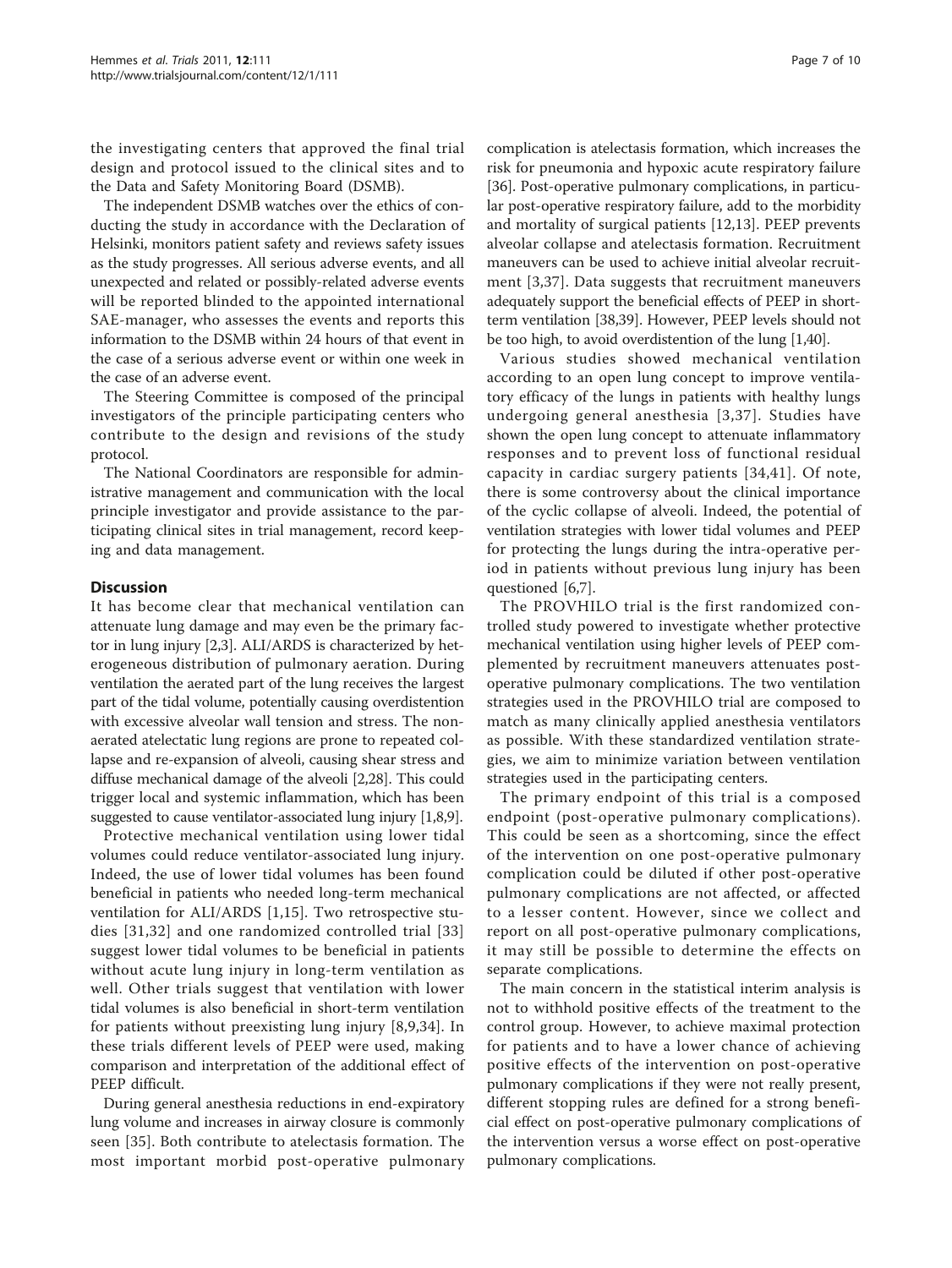the investigating centers that approved the final trial design and protocol issued to the clinical sites and to the Data and Safety Monitoring Board (DSMB).

The independent DSMB watches over the ethics of conducting the study in accordance with the Declaration of Helsinki, monitors patient safety and reviews safety issues as the study progresses. All serious adverse events, and all unexpected and related or possibly-related adverse events will be reported blinded to the appointed international SAE-manager, who assesses the events and reports this information to the DSMB within 24 hours of that event in the case of a serious adverse event or within one week in the case of an adverse event.

The Steering Committee is composed of the principal investigators of the principle participating centers who contribute to the design and revisions of the study protocol.

The National Coordinators are responsible for administrative management and communication with the local principle investigator and provide assistance to the participating clinical sites in trial management, record keeping and data management.

### **Discussion**

It has become clear that mechanical ventilation can attenuate lung damage and may even be the primary factor in lung injury [\[2,3](#page-7-0)]. ALI/ARDS is characterized by heterogeneous distribution of pulmonary aeration. During ventilation the aerated part of the lung receives the largest part of the tidal volume, potentially causing overdistention with excessive alveolar wall tension and stress. The nonaerated atelectatic lung regions are prone to repeated collapse and re-expansion of alveoli, causing shear stress and diffuse mechanical damage of the alveoli [[2](#page-7-0)[,28](#page-8-0)]. This could trigger local and systemic inflammation, which has been suggested to cause ventilator-associated lung injury [\[1,](#page-7-0)[8,9\]](#page-8-0).

Protective mechanical ventilation using lower tidal volumes could reduce ventilator-associated lung injury. Indeed, the use of lower tidal volumes has been found beneficial in patients who needed long-term mechanical ventilation for ALI/ARDS [\[1](#page-7-0),[15](#page-8-0)]. Two retrospective studies [[31](#page-8-0),[32\]](#page-8-0) and one randomized controlled trial [[33](#page-8-0)] suggest lower tidal volumes to be beneficial in patients without acute lung injury in long-term ventilation as well. Other trials suggest that ventilation with lower tidal volumes is also beneficial in short-term ventilation for patients without preexisting lung injury [[8,9](#page-8-0),[34\]](#page-8-0). In these trials different levels of PEEP were used, making comparison and interpretation of the additional effect of PEEP difficult.

During general anesthesia reductions in end-expiratory lung volume and increases in airway closure is commonly seen [[35\]](#page-8-0). Both contribute to atelectasis formation. The most important morbid post-operative pulmonary complication is atelectasis formation, which increases the risk for pneumonia and hypoxic acute respiratory failure [[36\]](#page-8-0). Post-operative pulmonary complications, in particular post-operative respiratory failure, add to the morbidity and mortality of surgical patients [[12,13\]](#page-8-0). PEEP prevents alveolar collapse and atelectasis formation. Recruitment maneuvers can be used to achieve initial alveolar recruitment [[3](#page-7-0)[,37](#page-8-0)]. Data suggests that recruitment maneuvers adequately support the beneficial effects of PEEP in shortterm ventilation [\[38,39\]](#page-8-0). However, PEEP levels should not be too high, to avoid overdistention of the lung [[1,](#page-7-0)[40](#page-8-0)].

Various studies showed mechanical ventilation according to an open lung concept to improve ventilatory efficacy of the lungs in patients with healthy lungs undergoing general anesthesia [[3](#page-7-0),[37\]](#page-8-0). Studies have shown the open lung concept to attenuate inflammatory responses and to prevent loss of functional residual capacity in cardiac surgery patients [[34,41](#page-8-0)]. Of note, there is some controversy about the clinical importance of the cyclic collapse of alveoli. Indeed, the potential of ventilation strategies with lower tidal volumes and PEEP for protecting the lungs during the intra-operative period in patients without previous lung injury has been questioned [[6,](#page-7-0)[7\]](#page-8-0).

The PROVHILO trial is the first randomized controlled study powered to investigate whether protective mechanical ventilation using higher levels of PEEP complemented by recruitment maneuvers attenuates postoperative pulmonary complications. The two ventilation strategies used in the PROVHILO trial are composed to match as many clinically applied anesthesia ventilators as possible. With these standardized ventilation strategies, we aim to minimize variation between ventilation strategies used in the participating centers.

The primary endpoint of this trial is a composed endpoint (post-operative pulmonary complications). This could be seen as a shortcoming, since the effect of the intervention on one post-operative pulmonary complication could be diluted if other post-operative pulmonary complications are not affected, or affected to a lesser content. However, since we collect and report on all post-operative pulmonary complications, it may still be possible to determine the effects on separate complications.

The main concern in the statistical interim analysis is not to withhold positive effects of the treatment to the control group. However, to achieve maximal protection for patients and to have a lower chance of achieving positive effects of the intervention on post-operative pulmonary complications if they were not really present, different stopping rules are defined for a strong beneficial effect on post-operative pulmonary complications of the intervention versus a worse effect on post-operative pulmonary complications.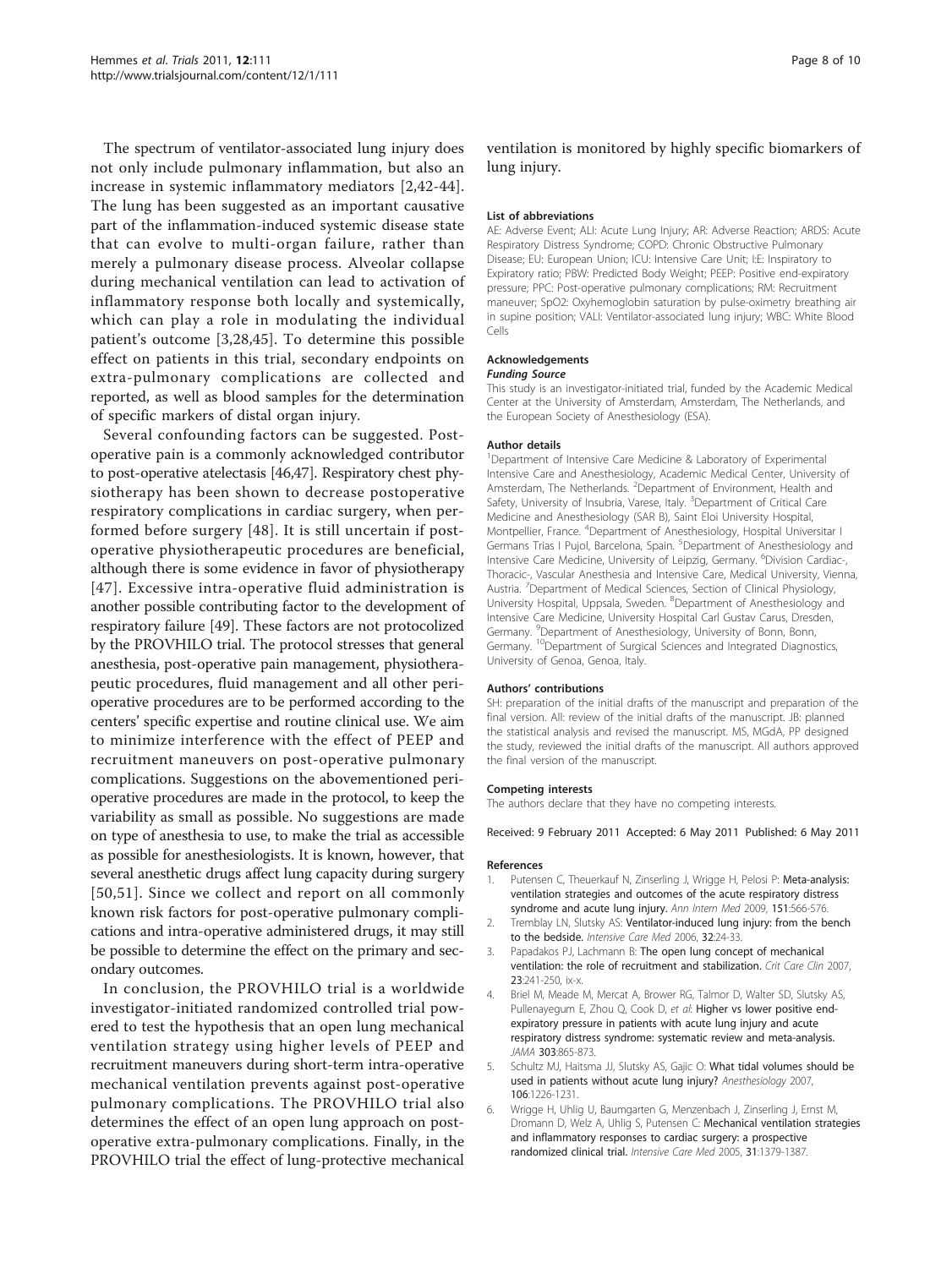<span id="page-7-0"></span>The spectrum of ventilator-associated lung injury does not only include pulmonary inflammation, but also an increase in systemic inflammatory mediators [2,[42](#page-8-0)-[44](#page-8-0)]. The lung has been suggested as an important causative part of the inflammation-induced systemic disease state that can evolve to multi-organ failure, rather than merely a pulmonary disease process. Alveolar collapse during mechanical ventilation can lead to activation of inflammatory response both locally and systemically, which can play a role in modulating the individual patient's outcome [3,[28,45](#page-8-0)]. To determine this possible effect on patients in this trial, secondary endpoints on extra-pulmonary complications are collected and reported, as well as blood samples for the determination of specific markers of distal organ injury.

Several confounding factors can be suggested. Postoperative pain is a commonly acknowledged contributor to post-operative atelectasis [\[46,47\]](#page-8-0). Respiratory chest physiotherapy has been shown to decrease postoperative respiratory complications in cardiac surgery, when performed before surgery [\[48\]](#page-8-0). It is still uncertain if postoperative physiotherapeutic procedures are beneficial, although there is some evidence in favor of physiotherapy [[47\]](#page-8-0). Excessive intra-operative fluid administration is another possible contributing factor to the development of respiratory failure [\[49](#page-9-0)]. These factors are not protocolized by the PROVHILO trial. The protocol stresses that general anesthesia, post-operative pain management, physiotherapeutic procedures, fluid management and all other perioperative procedures are to be performed according to the centers' specific expertise and routine clinical use. We aim to minimize interference with the effect of PEEP and recruitment maneuvers on post-operative pulmonary complications. Suggestions on the abovementioned perioperative procedures are made in the protocol, to keep the variability as small as possible. No suggestions are made on type of anesthesia to use, to make the trial as accessible as possible for anesthesiologists. It is known, however, that several anesthetic drugs affect lung capacity during surgery [[50,51\]](#page-9-0). Since we collect and report on all commonly known risk factors for post-operative pulmonary complications and intra-operative administered drugs, it may still be possible to determine the effect on the primary and secondary outcomes.

In conclusion, the PROVHILO trial is a worldwide investigator-initiated randomized controlled trial powered to test the hypothesis that an open lung mechanical ventilation strategy using higher levels of PEEP and recruitment maneuvers during short-term intra-operative mechanical ventilation prevents against post-operative pulmonary complications. The PROVHILO trial also determines the effect of an open lung approach on postoperative extra-pulmonary complications. Finally, in the PROVHILO trial the effect of lung-protective mechanical Page 8 of 10

ventilation is monitored by highly specific biomarkers of lung injury.

#### List of abbreviations

AE: Adverse Event; ALI: Acute Lung Injury; AR: Adverse Reaction; ARDS: Acute Respiratory Distress Syndrome; COPD: Chronic Obstructive Pulmonary Disease; EU: European Union; ICU: Intensive Care Unit; I:E: Inspiratory to Expiratory ratio; PBW: Predicted Body Weight; PEEP: Positive end-expiratory pressure; PPC: Post-operative pulmonary complications; RM: Recruitment maneuver; SpO2: Oxyhemoglobin saturation by pulse-oximetry breathing air in supine position; VALI: Ventilator-associated lung injury; WBC: White Blood Cells

#### Acknowledgements

#### Funding Source

This study is an investigator-initiated trial, funded by the Academic Medical Center at the University of Amsterdam, Amsterdam, The Netherlands, and the European Society of Anesthesiology (ESA).

#### Author details

<sup>1</sup>Department of Intensive Care Medicine & Laboratory of Experimental Intensive Care and Anesthesiology, Academic Medical Center, University of Amsterdam, The Netherlands. <sup>2</sup>Department of Environment, Health and Safety, University of Insubria, Varese, Italy. <sup>3</sup>Department of Critical Care Medicine and Anesthesiology (SAR B), Saint Eloi University Hospital, Montpellier, France. <sup>4</sup>Department of Anesthesiology, Hospital Universitar I Germans Trias I Pujol, Barcelona, Spain. <sup>5</sup>Department of Anesthesiology and Intensive Care Medicine, University of Leipzig, Germany. <sup>6</sup>Division Cardiac-Thoracic-, Vascular Anesthesia and Intensive Care, Medical University, Vienna, Austria. <sup>7</sup>Department of Medical Sciences, Section of Clinical Physiology University Hospital, Uppsala, Sweden. <sup>8</sup>Department of Anesthesiology and Intensive Care Medicine, University Hospital Carl Gustav Carus, Dresden, Germany. <sup>9</sup>Department of Anesthesiology, University of Bonn, Bonn, Germany. <sup>10</sup>Department of Surgical Sciences and Integrated Diagnostics, University of Genoa, Genoa, Italy.

#### Authors' contributions

SH: preparation of the initial drafts of the manuscript and preparation of the final version. All: review of the initial drafts of the manuscript. JB: planned the statistical analysis and revised the manuscript. MS, MGdA, PP designed the study, reviewed the initial drafts of the manuscript. All authors approved the final version of the manuscript.

#### Competing interests

The authors declare that they have no competing interests.

#### Received: 9 February 2011 Accepted: 6 May 2011 Published: 6 May 2011

#### References

- 1. Putensen C, Theuerkauf N, Zinserling J, Wrigge H, Pelosi P: [Meta-analysis:](http://www.ncbi.nlm.nih.gov/pubmed/19841457?dopt=Abstract) [ventilation strategies and outcomes of the acute respiratory distress](http://www.ncbi.nlm.nih.gov/pubmed/19841457?dopt=Abstract) [syndrome and acute lung injury.](http://www.ncbi.nlm.nih.gov/pubmed/19841457?dopt=Abstract) Ann Intern Med 2009, 151:566-576.
- 2. Tremblay LN, Slutsky AS: [Ventilator-induced lung injury: from the bench](http://www.ncbi.nlm.nih.gov/pubmed/16231069?dopt=Abstract) [to the bedside.](http://www.ncbi.nlm.nih.gov/pubmed/16231069?dopt=Abstract) Intensive Care Med 2006, 32:24-33.
- 3. Papadakos PJ, Lachmann B: [The open lung concept of mechanical](http://www.ncbi.nlm.nih.gov/pubmed/17368168?dopt=Abstract) [ventilation: the role of recruitment and stabilization.](http://www.ncbi.nlm.nih.gov/pubmed/17368168?dopt=Abstract) Crit Care Clin 2007, 23:241-250, ix-x.
- 4. Briel M, Meade M, Mercat A, Brower RG, Talmor D, Walter SD, Slutsky AS, Pullenayegum E, Zhou Q, Cook D, et al: Higher vs lower positive endexpiratory pressure in patients with acute lung injury and acute respiratory distress syndrome: systematic review and meta-analysis. JAMA 303:865-873.
- 5. Schultz MJ, Haitsma JJ, Slutsky AS, Gajic O: [What tidal volumes should be](http://www.ncbi.nlm.nih.gov/pubmed/17525599?dopt=Abstract) [used in patients without acute lung injury?](http://www.ncbi.nlm.nih.gov/pubmed/17525599?dopt=Abstract) Anesthesiology 2007, 106:1226-1231.
- 6. Wrigge H, Uhlig U, Baumgarten G, Menzenbach J, Zinserling J, Ernst M, Dromann D, Welz A, Uhlig S, Putensen C: [Mechanical ventilation strategies](http://www.ncbi.nlm.nih.gov/pubmed/16132888?dopt=Abstract) [and inflammatory responses to cardiac surgery: a prospective](http://www.ncbi.nlm.nih.gov/pubmed/16132888?dopt=Abstract) [randomized clinical trial.](http://www.ncbi.nlm.nih.gov/pubmed/16132888?dopt=Abstract) Intensive Care Med 2005, 31:1379-1387.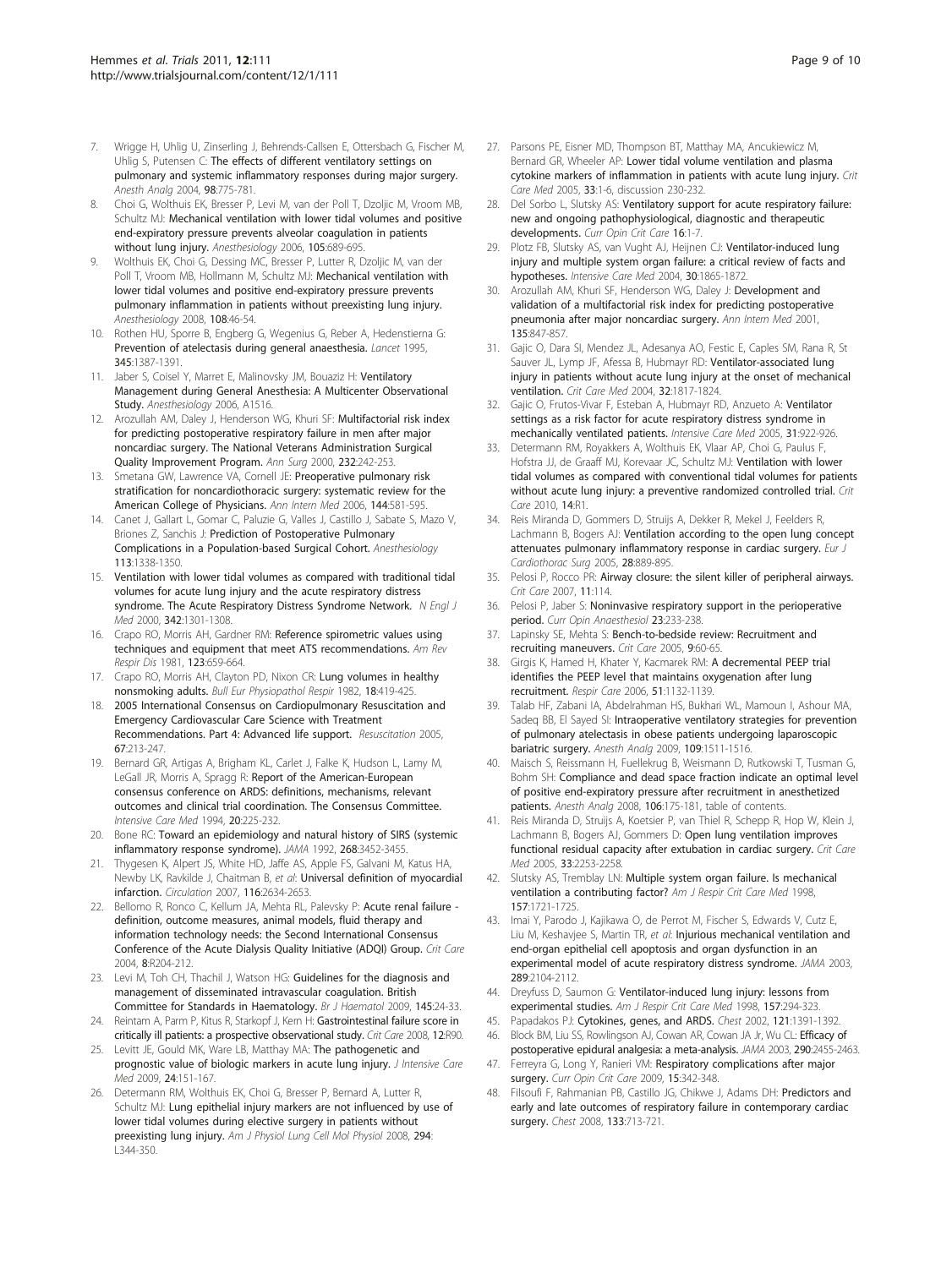- <span id="page-8-0"></span>7. Wrigge H, Uhlig U, Zinserling J, Behrends-Callsen E, Ottersbach G, Fischer M, Uhlig S, Putensen C: [The effects of different ventilatory settings on](http://www.ncbi.nlm.nih.gov/pubmed/14980936?dopt=Abstract) [pulmonary and systemic inflammatory responses during major surgery.](http://www.ncbi.nlm.nih.gov/pubmed/14980936?dopt=Abstract) Anesth Analg 2004, 98:775-781.
- 8. Choi G, Wolthuis EK, Bresser P, Levi M, van der Poll T, Dzoljic M, Vroom MB, Schultz MJ: [Mechanical ventilation with lower tidal volumes and positive](http://www.ncbi.nlm.nih.gov/pubmed/17006066?dopt=Abstract) [end-expiratory pressure prevents alveolar coagulation in patients](http://www.ncbi.nlm.nih.gov/pubmed/17006066?dopt=Abstract) [without lung injury.](http://www.ncbi.nlm.nih.gov/pubmed/17006066?dopt=Abstract) Anesthesiology 2006, 105:689-695.
- 9. Wolthuis EK, Choi G, Dessing MC, Bresser P, Lutter R, Dzoljic M, van der Poll T, Vroom MB, Hollmann M, Schultz MJ: [Mechanical ventilation with](http://www.ncbi.nlm.nih.gov/pubmed/18156881?dopt=Abstract) [lower tidal volumes and positive end-expiratory pressure prevents](http://www.ncbi.nlm.nih.gov/pubmed/18156881?dopt=Abstract) [pulmonary inflammation in patients without preexisting lung injury.](http://www.ncbi.nlm.nih.gov/pubmed/18156881?dopt=Abstract) Anesthesiology 2008, 108:46-54.
- 10. Rothen HU, Sporre B, Engberg G, Wegenius G, Reber A, Hedenstierna G: [Prevention of atelectasis during general anaesthesia.](http://www.ncbi.nlm.nih.gov/pubmed/7760608?dopt=Abstract) Lancet 1995, 345:1387-1391.
- 11. Jaber S, Coisel Y, Marret E, Malinovsky JM, Bouaziz H: Ventilatory Management during General Anesthesia: A Multicenter Observational Study. Anesthesiology 2006, A1516.
- 12. Arozullah AM, Daley J, Henderson WG, Khuri SF: [Multifactorial risk index](http://www.ncbi.nlm.nih.gov/pubmed/10903604?dopt=Abstract) [for predicting postoperative respiratory failure in men after major](http://www.ncbi.nlm.nih.gov/pubmed/10903604?dopt=Abstract) [noncardiac surgery. The National Veterans Administration Surgical](http://www.ncbi.nlm.nih.gov/pubmed/10903604?dopt=Abstract) [Quality Improvement Program.](http://www.ncbi.nlm.nih.gov/pubmed/10903604?dopt=Abstract) Ann Surg 2000, 232:242-253.
- 13. Smetana GW, Lawrence VA, Cornell JE: [Preoperative pulmonary risk](http://www.ncbi.nlm.nih.gov/pubmed/16618956?dopt=Abstract) [stratification for noncardiothoracic surgery: systematic review for the](http://www.ncbi.nlm.nih.gov/pubmed/16618956?dopt=Abstract) [American College of Physicians.](http://www.ncbi.nlm.nih.gov/pubmed/16618956?dopt=Abstract) Ann Intern Med 2006, 144:581-595.
- 14. Canet J, Gallart L, Gomar C, Paluzie G, Valles J, Castillo J, Sabate S, Mazo V, Briones Z, Sanchis J: Prediction of Postoperative Pulmonary Complications in a Population-based Surgical Cohort. Anesthesiology 113:1338-1350.
- 15. Ventilation with lower tidal volumes as compared with traditional tidal volumes for acute lung injury and the acute respiratory distress syndrome. The Acute Respiratory Distress Syndrome Network. N Engl J Med 2000, 342:1301-1308.
- 16. Crapo RO, Morris AH, Gardner RM: [Reference spirometric values using](http://www.ncbi.nlm.nih.gov/pubmed/7271065?dopt=Abstract) [techniques and equipment that meet ATS recommendations.](http://www.ncbi.nlm.nih.gov/pubmed/7271065?dopt=Abstract) Am Rev Respir Dis 1981, 123:659-664.
- 17. Crapo RO, Morris AH, Clayton PD, Nixon CR: [Lung volumes in healthy](http://www.ncbi.nlm.nih.gov/pubmed/7074238?dopt=Abstract) [nonsmoking adults.](http://www.ncbi.nlm.nih.gov/pubmed/7074238?dopt=Abstract) Bull Eur Physiopathol Respir 1982, 18:419-425.
- 18. 2005 International Consensus on Cardiopulmonary Resuscitation and Emergency Cardiovascular Care Science with Treatment Recommendations. Part 4: Advanced life support. Resuscitation 2005, 67:213-247.
- 19. Bernard GR, Artigas A, Brigham KL, Carlet J, Falke K, Hudson L, Lamy M, LeGall JR, Morris A, Spragg R: [Report of the American-European](http://www.ncbi.nlm.nih.gov/pubmed/8014293?dopt=Abstract) [consensus conference on ARDS: definitions, mechanisms, relevant](http://www.ncbi.nlm.nih.gov/pubmed/8014293?dopt=Abstract) [outcomes and clinical trial coordination. The Consensus Committee.](http://www.ncbi.nlm.nih.gov/pubmed/8014293?dopt=Abstract) Intensive Care Med 1994, 20:225-232.
- 20. Bone RC: [Toward an epidemiology and natural history of SIRS \(systemic](http://www.ncbi.nlm.nih.gov/pubmed/1460735?dopt=Abstract) [inflammatory response syndrome\).](http://www.ncbi.nlm.nih.gov/pubmed/1460735?dopt=Abstract) JAMA 1992, 268:3452-3455.
- 21. Thygesen K, Alpert JS, White HD, Jaffe AS, Apple FS, Galvani M, Katus HA, Newby LK, Ravkilde J, Chaitman B, et al: [Universal definition of myocardial](http://www.ncbi.nlm.nih.gov/pubmed/17951284?dopt=Abstract) [infarction.](http://www.ncbi.nlm.nih.gov/pubmed/17951284?dopt=Abstract) Circulation 2007, 116:2634-2653.
- 22. Bellomo R, Ronco C, Kellum JA, Mehta RL, Palevsky P: [Acute renal failure](http://www.ncbi.nlm.nih.gov/pubmed/15312219?dopt=Abstract)  [definition, outcome measures, animal models, fluid therapy and](http://www.ncbi.nlm.nih.gov/pubmed/15312219?dopt=Abstract) [information technology needs: the Second International Consensus](http://www.ncbi.nlm.nih.gov/pubmed/15312219?dopt=Abstract) [Conference of the Acute Dialysis Quality Initiative \(ADQI\) Group.](http://www.ncbi.nlm.nih.gov/pubmed/15312219?dopt=Abstract) Crit Care 2004, 8:R204-212.
- 23. Levi M, Toh CH, Thachil J, Watson HG: [Guidelines for the diagnosis and](http://www.ncbi.nlm.nih.gov/pubmed/19222477?dopt=Abstract) [management of disseminated intravascular coagulation. British](http://www.ncbi.nlm.nih.gov/pubmed/19222477?dopt=Abstract) [Committee for Standards in Haematology.](http://www.ncbi.nlm.nih.gov/pubmed/19222477?dopt=Abstract) Br J Haematol 2009, 145:24-33.
- 24. Reintam A, Parm P, Kitus R, Starkopf J, Kern H: [Gastrointestinal failure score in](http://www.ncbi.nlm.nih.gov/pubmed/18625051?dopt=Abstract) [critically ill patients: a prospective observational study.](http://www.ncbi.nlm.nih.gov/pubmed/18625051?dopt=Abstract) Crit Care 2008, 12:R90.
- 25. Levitt JE, Gould MK, Ware LB, Matthay MA: [The pathogenetic and](http://www.ncbi.nlm.nih.gov/pubmed/19282296?dopt=Abstract) [prognostic value of biologic markers in acute lung injury.](http://www.ncbi.nlm.nih.gov/pubmed/19282296?dopt=Abstract) J Intensive Care Med 2009, 24:151-167.
- 26. Determann RM, Wolthuis EK, Choi G, Bresser P, Bernard A, Lutter R, Schultz MJ: [Lung epithelial injury markers are not influenced by use of](http://www.ncbi.nlm.nih.gov/pubmed/18083770?dopt=Abstract) [lower tidal volumes during elective surgery in patients without](http://www.ncbi.nlm.nih.gov/pubmed/18083770?dopt=Abstract) [preexisting lung injury.](http://www.ncbi.nlm.nih.gov/pubmed/18083770?dopt=Abstract) Am J Physiol Lung Cell Mol Physiol 2008, 294: L344-350.
- 27. Parsons PE, Eisner MD, Thompson BT, Matthay MA, Ancukiewicz M, Bernard GR, Wheeler AP: [Lower tidal volume ventilation and plasma](http://www.ncbi.nlm.nih.gov/pubmed/15644641?dopt=Abstract) [cytokine markers of inflammation in patients with acute lung injury.](http://www.ncbi.nlm.nih.gov/pubmed/15644641?dopt=Abstract) Crit Care Med 2005, 33:1-6, discussion 230-232.
- 28. Del Sorbo L, Slutsky AS: Ventilatory support for acute respiratory failure: new and ongoing pathophysiological, diagnostic and therapeutic developments. Curr Opin Crit Care 16:1-7.
- 29. Plotz FB, Slutsky AS, van Vught AJ, Heijnen CJ: [Ventilator-induced lung](http://www.ncbi.nlm.nih.gov/pubmed/15221129?dopt=Abstract) [injury and multiple system organ failure: a critical review of facts and](http://www.ncbi.nlm.nih.gov/pubmed/15221129?dopt=Abstract) [hypotheses.](http://www.ncbi.nlm.nih.gov/pubmed/15221129?dopt=Abstract) Intensive Care Med 2004, 30:1865-1872.
- 30. Arozullah AM, Khuri SF, Henderson WG, Daley J: [Development and](http://www.ncbi.nlm.nih.gov/pubmed/11712875?dopt=Abstract) [validation of a multifactorial risk index for predicting postoperative](http://www.ncbi.nlm.nih.gov/pubmed/11712875?dopt=Abstract) [pneumonia after major noncardiac surgery.](http://www.ncbi.nlm.nih.gov/pubmed/11712875?dopt=Abstract) Ann Intern Med 2001, 135:847-857.
- 31. Gajic O, Dara SI, Mendez JL, Adesanya AO, Festic E, Caples SM, Rana R, St Sauver JL, Lymp JF, Afessa B, Hubmayr RD: [Ventilator-associated lung](http://www.ncbi.nlm.nih.gov/pubmed/15343007?dopt=Abstract) [injury in patients without acute lung injury at the onset of mechanical](http://www.ncbi.nlm.nih.gov/pubmed/15343007?dopt=Abstract) [ventilation.](http://www.ncbi.nlm.nih.gov/pubmed/15343007?dopt=Abstract) Crit Care Med 2004, 32:1817-1824.
- 32. Gajic O, Frutos-Vivar F, Esteban A, Hubmayr RD, Anzueto A: [Ventilator](http://www.ncbi.nlm.nih.gov/pubmed/15856172?dopt=Abstract) [settings as a risk factor for acute respiratory distress syndrome in](http://www.ncbi.nlm.nih.gov/pubmed/15856172?dopt=Abstract) [mechanically ventilated patients.](http://www.ncbi.nlm.nih.gov/pubmed/15856172?dopt=Abstract) Intensive Care Med 2005, 31:922-926.
- 33. Determann RM, Royakkers A, Wolthuis EK, Vlaar AP, Choi G, Paulus F, Hofstra JJ, de Graaff MJ, Korevaar JC, Schultz MJ: [Ventilation with lower](http://www.ncbi.nlm.nih.gov/pubmed/20055989?dopt=Abstract) [tidal volumes as compared with conventional tidal volumes for patients](http://www.ncbi.nlm.nih.gov/pubmed/20055989?dopt=Abstract) without [acute lung injury: a preventive randomized controlled trial.](http://www.ncbi.nlm.nih.gov/pubmed/20055989?dopt=Abstract) Crit Care 2010, 14:R1.
- 34. Reis Miranda D, Gommers D, Struijs A, Dekker R, Mekel J, Feelders R, Lachmann B, Bogers AJ: [Ventilation according to the open lung concept](http://www.ncbi.nlm.nih.gov/pubmed/16271479?dopt=Abstract) [attenuates pulmonary inflammatory response in cardiac surgery.](http://www.ncbi.nlm.nih.gov/pubmed/16271479?dopt=Abstract) Eur J Cardiothorac Surg 2005, 28:889-895.
- 35. Pelosi P, Rocco PR: [Airway closure: the silent killer of peripheral airways.](http://www.ncbi.nlm.nih.gov/pubmed/17328793?dopt=Abstract) Crit Care 2007, 11:114.
- 36. Pelosi P, Jaber S: Noninvasive respiratory support in the perioperative period. Curr Opin Anaesthesiol 23:233-238.
- 37. Lapinsky SE, Mehta S: [Bench-to-bedside review: Recruitment and](http://www.ncbi.nlm.nih.gov/pubmed/15693985?dopt=Abstract) [recruiting maneuvers.](http://www.ncbi.nlm.nih.gov/pubmed/15693985?dopt=Abstract) Crit Care 2005, 9:60-65.
- 38. Girgis K, Hamed H, Khater Y, Kacmarek RM: [A decremental PEEP trial](http://www.ncbi.nlm.nih.gov/pubmed/17005058?dopt=Abstract) [identifies the PEEP level that maintains oxygenation after lung](http://www.ncbi.nlm.nih.gov/pubmed/17005058?dopt=Abstract) [recruitment.](http://www.ncbi.nlm.nih.gov/pubmed/17005058?dopt=Abstract) Respir Care 2006, 51:1132-1139.
- 39. Talab HF, Zabani IA, Abdelrahman HS, Bukhari WL, Mamoun I, Ashour MA, Sadeq BB, El Sayed SI: [Intraoperative ventilatory strategies for prevention](http://www.ncbi.nlm.nih.gov/pubmed/19843790?dopt=Abstract) [of pulmonary atelectasis in obese patients undergoing laparoscopic](http://www.ncbi.nlm.nih.gov/pubmed/19843790?dopt=Abstract) [bariatric surgery.](http://www.ncbi.nlm.nih.gov/pubmed/19843790?dopt=Abstract) Anesth Analg 2009, 109:1511-1516.
- 40. Maisch S, Reissmann H, Fuellekrug B, Weismann D, Rutkowski T, Tusman G, Bohm SH: [Compliance and dead space fraction indicate an optimal level](http://www.ncbi.nlm.nih.gov/pubmed/18165575?dopt=Abstract) [of positive end-expiratory pressure after recruitment in anesthetized](http://www.ncbi.nlm.nih.gov/pubmed/18165575?dopt=Abstract) [patients.](http://www.ncbi.nlm.nih.gov/pubmed/18165575?dopt=Abstract) Anesth Analg 2008, 106:175-181, table of contents.
- 41. Reis Miranda D, Struijs A, Koetsier P, van Thiel R, Schepp R, Hop W, Klein J, Lachmann B, Bogers AJ, Gommers D: [Open lung ventilation improves](http://www.ncbi.nlm.nih.gov/pubmed/16215379?dopt=Abstract) [functional residual capacity after extubation in cardiac surgery.](http://www.ncbi.nlm.nih.gov/pubmed/16215379?dopt=Abstract) Crit Care Med 2005, 33:2253-2258.
- 42. Slutsky AS, Tremblay LN: [Multiple system organ failure. Is mechanical](http://www.ncbi.nlm.nih.gov/pubmed/9620897?dopt=Abstract) [ventilation a contributing factor?](http://www.ncbi.nlm.nih.gov/pubmed/9620897?dopt=Abstract) Am J Respir Crit Care Med 1998, 157:1721-1725.
- 43. Imai Y, Parodo J, Kajikawa O, de Perrot M, Fischer S, Edwards V, Cutz E, Liu M, Keshavjee S, Martin TR, et al: [Injurious mechanical ventilation and](http://www.ncbi.nlm.nih.gov/pubmed/12709468?dopt=Abstract) [end-organ epithelial cell apoptosis and organ dysfunction in an](http://www.ncbi.nlm.nih.gov/pubmed/12709468?dopt=Abstract) [experimental model of acute respiratory distress syndrome.](http://www.ncbi.nlm.nih.gov/pubmed/12709468?dopt=Abstract) JAMA 2003, 289:2104-2112.
- 44. Dreyfuss D, Saumon G: [Ventilator-induced lung injury: lessons from](http://www.ncbi.nlm.nih.gov/pubmed/9445314?dopt=Abstract) [experimental studies.](http://www.ncbi.nlm.nih.gov/pubmed/9445314?dopt=Abstract) Am J Respir Crit Care Med 1998, 157:294-323.
- 45. Papadakos PJ: [Cytokines, genes, and ARDS.](http://www.ncbi.nlm.nih.gov/pubmed/12006416?dopt=Abstract) Chest 2002, 121:1391-1392. 46. Block BM, Liu SS, Rowlingson AJ, Cowan AR, Cowan JA Jr, Wu CL: [Efficacy of](http://www.ncbi.nlm.nih.gov/pubmed/14612482?dopt=Abstract)
- [postoperative epidural analgesia: a meta-analysis.](http://www.ncbi.nlm.nih.gov/pubmed/14612482?dopt=Abstract) JAMA 2003, 290:2455-2463.
- 47. Ferreyra G, Long Y, Ranieri VM: [Respiratory complications after major](http://www.ncbi.nlm.nih.gov/pubmed/19542885?dopt=Abstract) [surgery.](http://www.ncbi.nlm.nih.gov/pubmed/19542885?dopt=Abstract) Curr Opin Crit Care 2009, 15:342-348.
- 48. Filsoufi F, Rahmanian PB, Castillo JG, Chikwe J, Adams DH: [Predictors and](http://www.ncbi.nlm.nih.gov/pubmed/18263692?dopt=Abstract) [early and late outcomes of respiratory failure in contemporary cardiac](http://www.ncbi.nlm.nih.gov/pubmed/18263692?dopt=Abstract) [surgery.](http://www.ncbi.nlm.nih.gov/pubmed/18263692?dopt=Abstract) Chest 2008, 133:713-721.